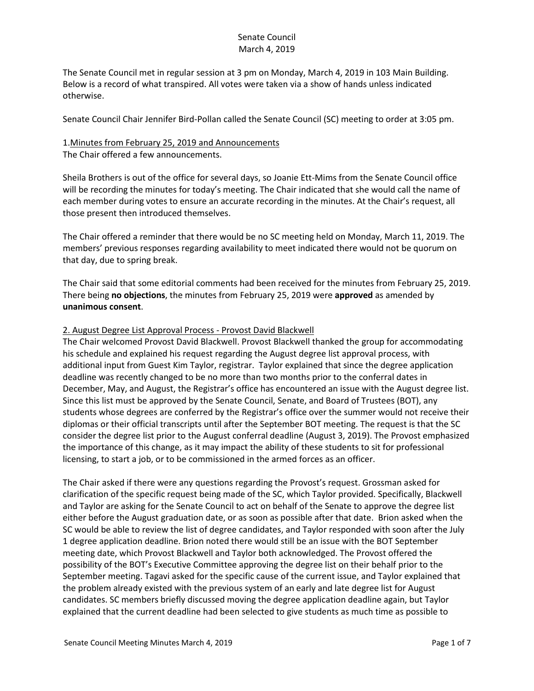The Senate Council met in regular session at 3 pm on Monday, March 4, 2019 in 103 Main Building. Below is a record of what transpired. All votes were taken via a show of hands unless indicated otherwise.

Senate Council Chair Jennifer Bird-Pollan called the Senate Council (SC) meeting to order at 3:05 pm.

# 1.Minutes from February 25, 2019 and Announcements

The Chair offered a few announcements.

Sheila Brothers is out of the office for several days, so Joanie Ett-Mims from the Senate Council office will be recording the minutes for today's meeting. The Chair indicated that she would call the name of each member during votes to ensure an accurate recording in the minutes. At the Chair's request, all those present then introduced themselves.

The Chair offered a reminder that there would be no SC meeting held on Monday, March 11, 2019. The members' previous responses regarding availability to meet indicated there would not be quorum on that day, due to spring break.

The Chair said that some editorial comments had been received for the minutes from February 25, 2019. There being **no objections**, the minutes from February 25, 2019 were **approved** as amended by **unanimous consent**.

## 2. August Degree List Approval Process - Provost David Blackwell

The Chair welcomed Provost David Blackwell. Provost Blackwell thanked the group for accommodating his schedule and explained his request regarding the August degree list approval process, with additional input from Guest Kim Taylor, registrar. Taylor explained that since the degree application deadline was recently changed to be no more than two months prior to the conferral dates in December, May, and August, the Registrar's office has encountered an issue with the August degree list. Since this list must be approved by the Senate Council, Senate, and Board of Trustees (BOT), any students whose degrees are conferred by the Registrar's office over the summer would not receive their diplomas or their official transcripts until after the September BOT meeting. The request is that the SC consider the degree list prior to the August conferral deadline (August 3, 2019). The Provost emphasized the importance of this change, as it may impact the ability of these students to sit for professional licensing, to start a job, or to be commissioned in the armed forces as an officer.

The Chair asked if there were any questions regarding the Provost's request. Grossman asked for clarification of the specific request being made of the SC, which Taylor provided. Specifically, Blackwell and Taylor are asking for the Senate Council to act on behalf of the Senate to approve the degree list either before the August graduation date, or as soon as possible after that date. Brion asked when the SC would be able to review the list of degree candidates, and Taylor responded with soon after the July 1 degree application deadline. Brion noted there would still be an issue with the BOT September meeting date, which Provost Blackwell and Taylor both acknowledged. The Provost offered the possibility of the BOT's Executive Committee approving the degree list on their behalf prior to the September meeting. Tagavi asked for the specific cause of the current issue, and Taylor explained that the problem already existed with the previous system of an early and late degree list for August candidates. SC members briefly discussed moving the degree application deadline again, but Taylor explained that the current deadline had been selected to give students as much time as possible to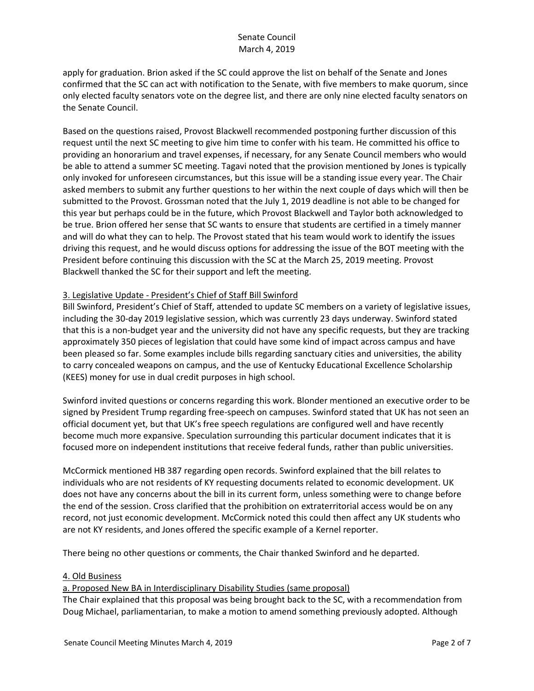apply for graduation. Brion asked if the SC could approve the list on behalf of the Senate and Jones confirmed that the SC can act with notification to the Senate, with five members to make quorum, since only elected faculty senators vote on the degree list, and there are only nine elected faculty senators on the Senate Council.

Based on the questions raised, Provost Blackwell recommended postponing further discussion of this request until the next SC meeting to give him time to confer with his team. He committed his office to providing an honorarium and travel expenses, if necessary, for any Senate Council members who would be able to attend a summer SC meeting. Tagavi noted that the provision mentioned by Jones is typically only invoked for unforeseen circumstances, but this issue will be a standing issue every year. The Chair asked members to submit any further questions to her within the next couple of days which will then be submitted to the Provost. Grossman noted that the July 1, 2019 deadline is not able to be changed for this year but perhaps could be in the future, which Provost Blackwell and Taylor both acknowledged to be true. Brion offered her sense that SC wants to ensure that students are certified in a timely manner and will do what they can to help. The Provost stated that his team would work to identify the issues driving this request, and he would discuss options for addressing the issue of the BOT meeting with the President before continuing this discussion with the SC at the March 25, 2019 meeting. Provost Blackwell thanked the SC for their support and left the meeting.

## 3. Legislative Update - President's Chief of Staff Bill Swinford

Bill Swinford, President's Chief of Staff, attended to update SC members on a variety of legislative issues, including the 30-day 2019 legislative session, which was currently 23 days underway. Swinford stated that this is a non-budget year and the university did not have any specific requests, but they are tracking approximately 350 pieces of legislation that could have some kind of impact across campus and have been pleased so far. Some examples include bills regarding sanctuary cities and universities, the ability to carry concealed weapons on campus, and the use of Kentucky Educational Excellence Scholarship (KEES) money for use in dual credit purposes in high school.

Swinford invited questions or concerns regarding this work. Blonder mentioned an executive order to be signed by President Trump regarding free-speech on campuses. Swinford stated that UK has not seen an official document yet, but that UK's free speech regulations are configured well and have recently become much more expansive. Speculation surrounding this particular document indicates that it is focused more on independent institutions that receive federal funds, rather than public universities.

McCormick mentioned HB 387 regarding open records. Swinford explained that the bill relates to individuals who are not residents of KY requesting documents related to economic development. UK does not have any concerns about the bill in its current form, unless something were to change before the end of the session. Cross clarified that the prohibition on extraterritorial access would be on any record, not just economic development. McCormick noted this could then affect any UK students who are not KY residents, and Jones offered the specific example of a Kernel reporter.

There being no other questions or comments, the Chair thanked Swinford and he departed.

#### 4. Old Business

## a. Proposed New BA in Interdisciplinary Disability Studies (same proposal)

The Chair explained that this proposal was being brought back to the SC, with a recommendation from Doug Michael, parliamentarian, to make a motion to amend something previously adopted. Although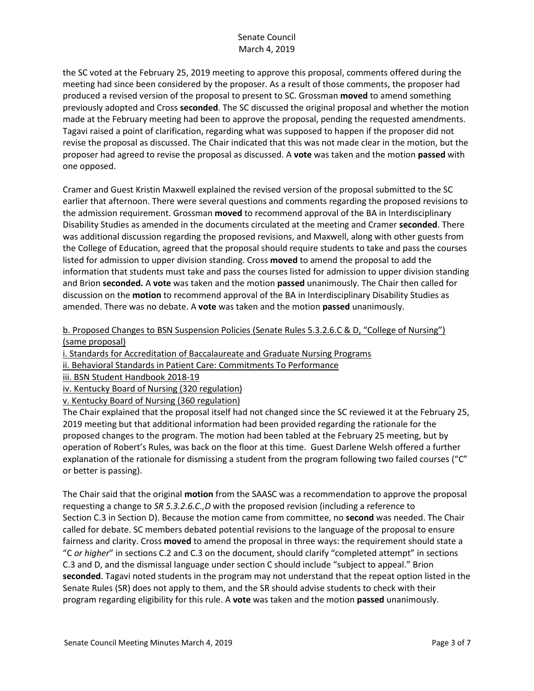the SC voted at the February 25, 2019 meeting to approve this proposal, comments offered during the meeting had since been considered by the proposer. As a result of those comments, the proposer had produced a revised version of the proposal to present to SC. Grossman **moved** to amend something previously adopted and Cross **seconded**. The SC discussed the original proposal and whether the motion made at the February meeting had been to approve the proposal, pending the requested amendments. Tagavi raised a point of clarification, regarding what was supposed to happen if the proposer did not revise the proposal as discussed. The Chair indicated that this was not made clear in the motion, but the proposer had agreed to revise the proposal as discussed. A **vote** was taken and the motion **passed** with one opposed.

Cramer and Guest Kristin Maxwell explained the revised version of the proposal submitted to the SC earlier that afternoon. There were several questions and comments regarding the proposed revisions to the admission requirement. Grossman **moved** to recommend approval of the BA in Interdisciplinary Disability Studies as amended in the documents circulated at the meeting and Cramer **seconded**. There was additional discussion regarding the proposed revisions, and Maxwell, along with other guests from the College of Education, agreed that the proposal should require students to take and pass the courses listed for admission to upper division standing. Cross **moved** to amend the proposal to add the information that students must take and pass the courses listed for admission to upper division standing and Brion **seconded.** A **vote** was taken and the motion **passed** unanimously. The Chair then called for discussion on the **motion** to recommend approval of the BA in Interdisciplinary Disability Studies as amended. There was no debate. A **vote** was taken and the motion **passed** unanimously.

b. Proposed Changes to BSN Suspension Policies (Senate Rules 5.3.2.6.C & D, "College of Nursing") (same proposal)

i. Standards for Accreditation of Baccalaureate and Graduate Nursing Programs

ii. Behavioral Standards in Patient Care: Commitments To Performance

- iii. BSN Student Handbook 2018-19
- iv. Kentucky Board of Nursing (320 regulation)
- v. Kentucky Board of Nursing (360 regulation)

The Chair explained that the proposal itself had not changed since the SC reviewed it at the February 25, 2019 meeting but that additional information had been provided regarding the rationale for the proposed changes to the program. The motion had been tabled at the February 25 meeting, but by operation of Robert's Rules, was back on the floor at this time. Guest Darlene Welsh offered a further explanation of the rationale for dismissing a student from the program following two failed courses ("C" or better is passing).

The Chair said that the original **motion** from the SAASC was a recommendation to approve the proposal requesting a change to *SR 5.3.2.6.C.,D* with the proposed revision (including a reference to Section C.3 in Section D). Because the motion came from committee, no **second** was needed. The Chair called for debate. SC members debated potential revisions to the language of the proposal to ensure fairness and clarity. Cross **moved** to amend the proposal in three ways: the requirement should state a "C *or higher*" in sections C.2 and C.3 on the document, should clarify "completed attempt" in sections C.3 and D, and the dismissal language under section C should include "subject to appeal." Brion **seconded**. Tagavi noted students in the program may not understand that the repeat option listed in the Senate Rules (SR) does not apply to them, and the SR should advise students to check with their program regarding eligibility for this rule. A **vote** was taken and the motion **passed** unanimously.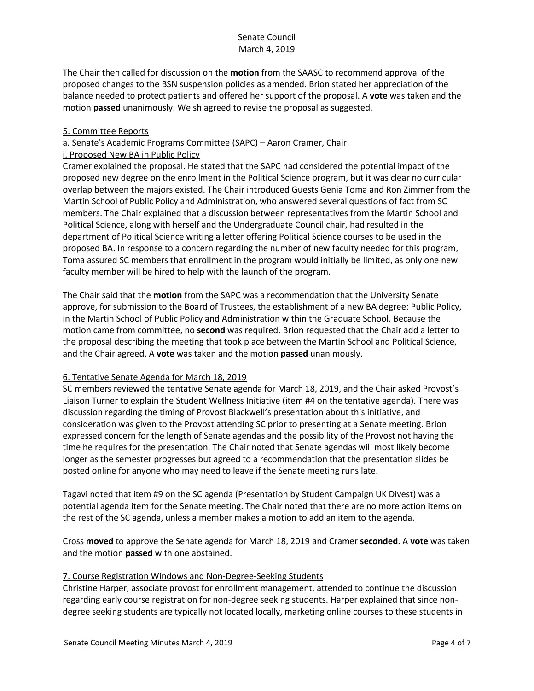The Chair then called for discussion on the **motion** from the SAASC to recommend approval of the proposed changes to the BSN suspension policies as amended. Brion stated her appreciation of the balance needed to protect patients and offered her support of the proposal. A **vote** was taken and the motion **passed** unanimously. Welsh agreed to revise the proposal as suggested.

## 5. Committee Reports

a. Senate's Academic Programs Committee (SAPC) – Aaron Cramer, Chair

#### i. Proposed New BA in Public Policy

Cramer explained the proposal. He stated that the SAPC had considered the potential impact of the proposed new degree on the enrollment in the Political Science program, but it was clear no curricular overlap between the majors existed. The Chair introduced Guests Genia Toma and Ron Zimmer from the Martin School of Public Policy and Administration, who answered several questions of fact from SC members. The Chair explained that a discussion between representatives from the Martin School and Political Science, along with herself and the Undergraduate Council chair, had resulted in the department of Political Science writing a letter offering Political Science courses to be used in the proposed BA. In response to a concern regarding the number of new faculty needed for this program, Toma assured SC members that enrollment in the program would initially be limited, as only one new faculty member will be hired to help with the launch of the program.

The Chair said that the **motion** from the SAPC was a recommendation that the University Senate approve, for submission to the Board of Trustees, the establishment of a new BA degree: Public Policy, in the Martin School of Public Policy and Administration within the Graduate School. Because the motion came from committee, no **second** was required. Brion requested that the Chair add a letter to the proposal describing the meeting that took place between the Martin School and Political Science, and the Chair agreed. A **vote** was taken and the motion **passed** unanimously.

## 6. Tentative Senate Agenda for March 18, 2019

SC members reviewed the tentative Senate agenda for March 18, 2019, and the Chair asked Provost's Liaison Turner to explain the Student Wellness Initiative (item #4 on the tentative agenda). There was discussion regarding the timing of Provost Blackwell's presentation about this initiative, and consideration was given to the Provost attending SC prior to presenting at a Senate meeting. Brion expressed concern for the length of Senate agendas and the possibility of the Provost not having the time he requires for the presentation. The Chair noted that Senate agendas will most likely become longer as the semester progresses but agreed to a recommendation that the presentation slides be posted online for anyone who may need to leave if the Senate meeting runs late.

Tagavi noted that item #9 on the SC agenda (Presentation by Student Campaign UK Divest) was a potential agenda item for the Senate meeting. The Chair noted that there are no more action items on the rest of the SC agenda, unless a member makes a motion to add an item to the agenda.

Cross **moved** to approve the Senate agenda for March 18, 2019 and Cramer **seconded**. A **vote** was taken and the motion **passed** with one abstained.

#### 7. Course Registration Windows and Non-Degree-Seeking Students

Christine Harper, associate provost for enrollment management, attended to continue the discussion regarding early course registration for non-degree seeking students. Harper explained that since nondegree seeking students are typically not located locally, marketing online courses to these students in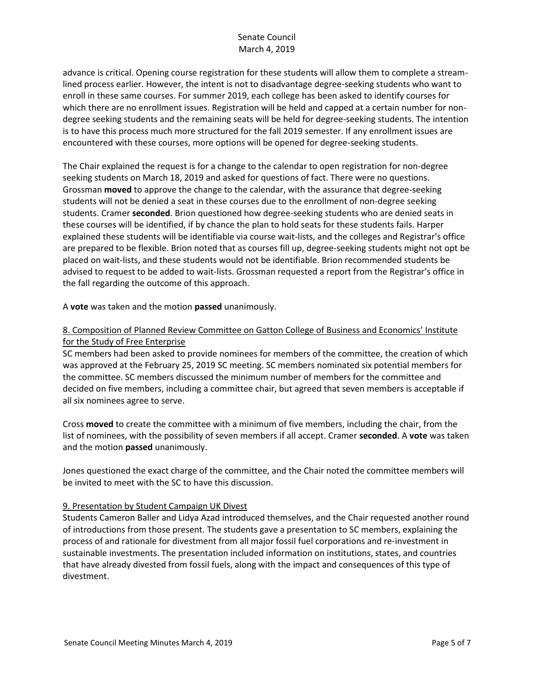advance is critical. Opening course registration for these students will allow them to complete a streamlined process earlier. However, the intent is not to disadvantage degree-seeking students who want to enroll in these same courses. For summer 2019, each college has been asked to identify courses for which there are no enrollment issues. Registration will be held and capped at a certain number for nondegree seeking students and the remaining seats will be held for degree-seeking students. The intention is to have this process much more structured for the fall 2019 semester. If any enrollment issues are encountered with these courses, more options will be opened for degree-seeking students.

The Chair explained the request is for a change to the calendar to open registration for non-degree seeking students on March 18, 2019 and asked for questions of fact. There were no questions. Grossman **moved** to approve the change to the calendar, with the assurance that degree-seeking students will not be denied a seat in these courses due to the enrollment of non-degree seeking students. Cramer **seconded**. Brion questioned how degree-seeking students who are denied seats in these courses will be identified, if by chance the plan to hold seats for these students fails. Harper explained these students will be identifiable via course wait-lists, and the colleges and Registrar's office are prepared to be flexible. Brion noted that as courses fill up, degree-seeking students might not opt be placed on wait-lists, and these students would not be identifiable. Brion recommended students be advised to request to be added to wait-lists. Grossman requested a report from the Registrar's office in the fall regarding the outcome of this approach.

A **vote** was taken and the motion **passed** unanimously.

# 8. Composition of Planned Review Committee on Gatton College of Business and Economics' Institute for the Study of Free Enterprise

SC members had been asked to provide nominees for members of the committee, the creation of which was approved at the February 25, 2019 SC meeting. SC members nominated six potential members for the committee. SC members discussed the minimum number of members for the committee and decided on five members, including a committee chair, but agreed that seven members is acceptable if all six nominees agree to serve.

Cross **moved** to create the committee with a minimum of five members, including the chair, from the list of nominees, with the possibility of seven members if all accept. Cramer **seconded**. A **vote** was taken and the motion **passed** unanimously.

Jones questioned the exact charge of the committee, and the Chair noted the committee members will be invited to meet with the SC to have this discussion.

## 9. Presentation by Student Campaign UK Divest

Students Cameron Baller and Lidya Azad introduced themselves, and the Chair requested another round of introductions from those present. The students gave a presentation to SC members, explaining the process of and rationale for divestment from all major fossil fuel corporations and re-investment in sustainable investments. The presentation included information on institutions, states, and countries that have already divested from fossil fuels, along with the impact and consequences of this type of divestment.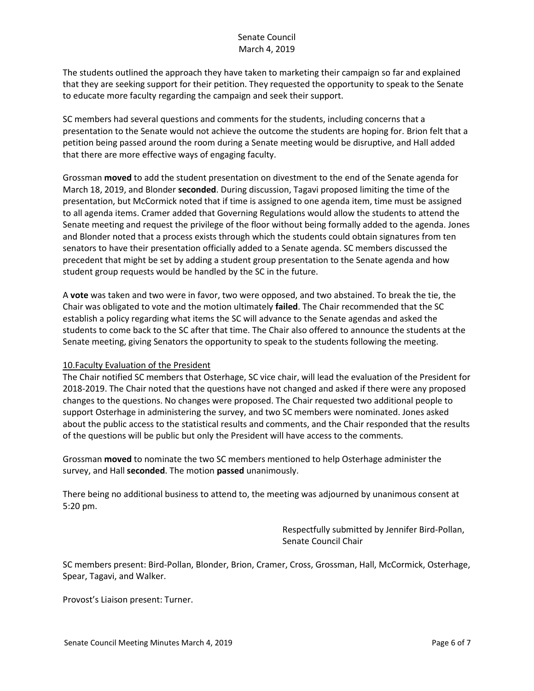The students outlined the approach they have taken to marketing their campaign so far and explained that they are seeking support for their petition. They requested the opportunity to speak to the Senate to educate more faculty regarding the campaign and seek their support.

SC members had several questions and comments for the students, including concerns that a presentation to the Senate would not achieve the outcome the students are hoping for. Brion felt that a petition being passed around the room during a Senate meeting would be disruptive, and Hall added that there are more effective ways of engaging faculty.

Grossman **moved** to add the student presentation on divestment to the end of the Senate agenda for March 18, 2019, and Blonder **seconded**. During discussion, Tagavi proposed limiting the time of the presentation, but McCormick noted that if time is assigned to one agenda item, time must be assigned to all agenda items. Cramer added that Governing Regulations would allow the students to attend the Senate meeting and request the privilege of the floor without being formally added to the agenda. Jones and Blonder noted that a process exists through which the students could obtain signatures from ten senators to have their presentation officially added to a Senate agenda. SC members discussed the precedent that might be set by adding a student group presentation to the Senate agenda and how student group requests would be handled by the SC in the future.

A **vote** was taken and two were in favor, two were opposed, and two abstained. To break the tie, the Chair was obligated to vote and the motion ultimately **failed**. The Chair recommended that the SC establish a policy regarding what items the SC will advance to the Senate agendas and asked the students to come back to the SC after that time. The Chair also offered to announce the students at the Senate meeting, giving Senators the opportunity to speak to the students following the meeting.

## 10.Faculty Evaluation of the President

The Chair notified SC members that Osterhage, SC vice chair, will lead the evaluation of the President for 2018-2019. The Chair noted that the questions have not changed and asked if there were any proposed changes to the questions. No changes were proposed. The Chair requested two additional people to support Osterhage in administering the survey, and two SC members were nominated. Jones asked about the public access to the statistical results and comments, and the Chair responded that the results of the questions will be public but only the President will have access to the comments.

Grossman **moved** to nominate the two SC members mentioned to help Osterhage administer the survey, and Hall **seconded**. The motion **passed** unanimously.

There being no additional business to attend to, the meeting was adjourned by unanimous consent at 5:20 pm.

> Respectfully submitted by Jennifer Bird-Pollan, Senate Council Chair

SC members present: Bird-Pollan, Blonder, Brion, Cramer, Cross, Grossman, Hall, McCormick, Osterhage, Spear, Tagavi, and Walker.

Provost's Liaison present: Turner.